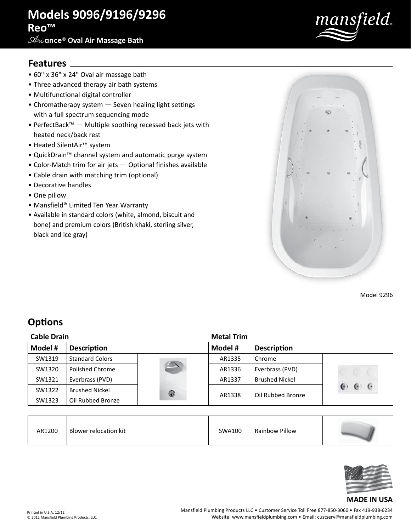# **Models 9096/9196/9296 Reo™**

## **9096 Oval Air Massage Bath Ari**ance® **Oval Air Massage Bath**



### **Features**

- 60" x 36" x 24" Oval air massage bath
- Three advanced therapy air bath systems
- Multifunctional digital controller
- Chromatherapy system Seven healing light settings with a full spectrum sequencing mode
- PerfectBack™ Multiple soothing recessed back jets with heated neck/back rest
- Heated SilentAir™ system
- QuickDrain™ channel system and automatic purge system
- Color-Match trim for air jets Optional finishes available
- Cable drain with matching trim (optional)
- Decorative handles
- One pillow
- Mansfield® Limited Ten Year Warranty
- Available in standard colors (white, almond, biscuit and bone) and premium colors (British khaki, sterling silver, black and ice gray)



Model 9296

### **Options**

| <b>Cable Drain</b> |                        |            | <b>Metal Trim</b> |                       |                 |
|--------------------|------------------------|------------|-------------------|-----------------------|-----------------|
| Model #            | <b>Description</b>     |            | Model #           | <b>Description</b>    |                 |
| SW1319             | <b>Standard Colors</b> |            | AR1335            | Chrome                |                 |
| SW1320             | Polished Chrome        |            | AR1336            | Everbrass (PVD)       | 07 63 IC.       |
| SW1321             | Everbrass (PVD)        |            | AR1337            | <b>Brushed Nickel</b> |                 |
| SW1322             | <b>Brushed Nickel</b>  | $\bigcirc$ | AR1338            | Oil Rubbed Bronze     | $\epsilon$<br>e |
| SW1323             | Oil Rubbed Bronze      |            |                   |                       |                 |

| AR1200<br>Blower relocation kit | SWA100 | Rainbow Pillow |  |
|---------------------------------|--------|----------------|--|
|---------------------------------|--------|----------------|--|



#### **MADE IN USA**